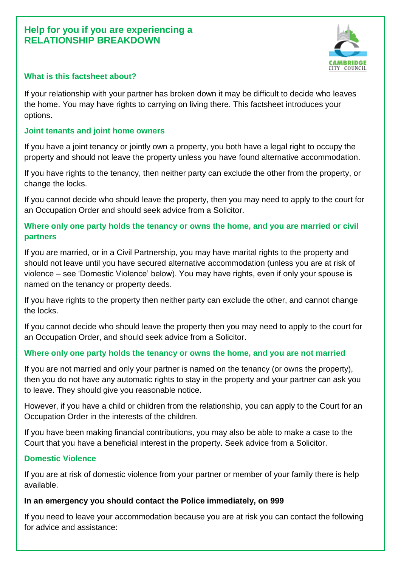# **Help for you if you are experiencing a RELATIONSHIP BREAKDOWN**



## **What is this factsheet about?**

If your relationship with your partner has broken down it may be difficult to decide who leaves the home. You may have rights to carrying on living there. This factsheet introduces your options.

#### **Joint tenants and joint home owners**

If you have a joint tenancy or jointly own a property, you both have a legal right to occupy the property and should not leave the property unless you have found alternative accommodation.

If you have rights to the tenancy, then neither party can exclude the other from the property, or change the locks.

If you cannot decide who should leave the property, then you may need to apply to the court for an Occupation Order and should seek advice from a Solicitor.

# **Where only one party holds the tenancy or owns the home, and you are married or civil partners**

If you are married, or in a Civil Partnership, you may have marital rights to the property and should not leave until you have secured alternative accommodation (unless you are at risk of violence – see 'Domestic Violence' below). You may have rights, even if only your spouse is named on the tenancy or property deeds.

If you have rights to the property then neither party can exclude the other, and cannot change the locks.

If you cannot decide who should leave the property then you may need to apply to the court for an Occupation Order, and should seek advice from a Solicitor.

### **Where only one party holds the tenancy or owns the home, and you are not married**

If you are not married and only your partner is named on the tenancy (or owns the property), then you do not have any automatic rights to stay in the property and your partner can ask you to leave. They should give you reasonable notice.

However, if you have a child or children from the relationship, you can apply to the Court for an Occupation Order in the interests of the children.

If you have been making financial contributions, you may also be able to make a case to the Court that you have a beneficial interest in the property. Seek advice from a Solicitor.

### **Domestic Violence**

If you are at risk of domestic violence from your partner or member of your family there is help available.

### **In an emergency you should contact the Police immediately, on 999**

If you need to leave your accommodation because you are at risk you can contact the following for advice and assistance: